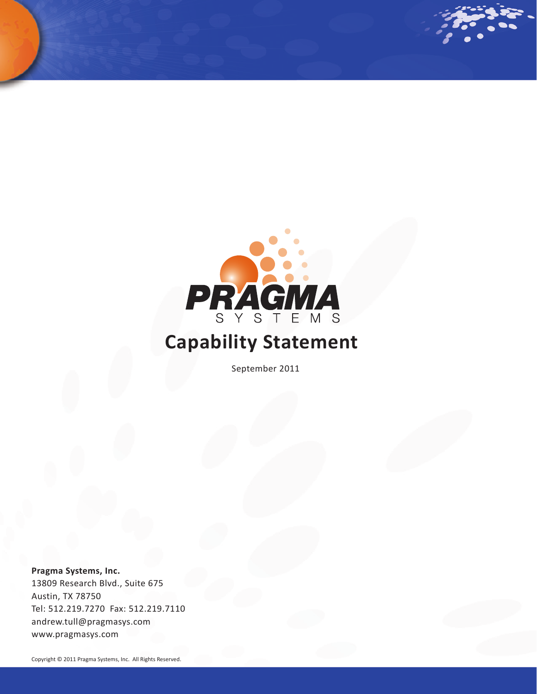

## **Capability Statement**

September 2011

**Pragma Systems, Inc.** 13809 Research Blvd., Suite 675 Austin, TX 78750 Tel: 512.219.7270 Fax: 512.219.7110 andrew.tull@pragmasys.com www.pragmasys.com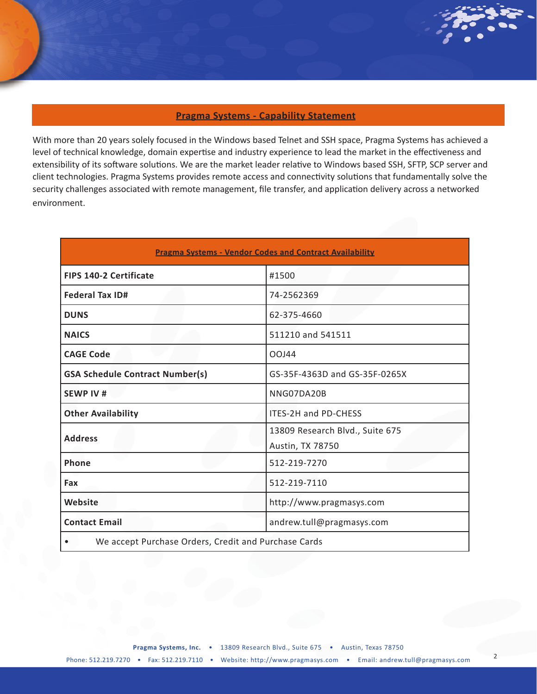## **Pragma Systems - Capability Statement**

With more than 20 years solely focused in the Windows based Telnet and SSH space, Pragma Systems has achieved a level of technical knowledge, domain expertise and industry experience to lead the market in the effectiveness and extensibility of its software solutions. We are the market leader relative to Windows based SSH, SFTP, SCP server and client technologies. Pragma Systems provides remote access and connectivity solutions that fundamentally solve the security challenges associated with remote management, file transfer, and application delivery across a networked environment.

| <b>Pragma Systems - Vendor Codes and Contract Availability</b> |                                                     |  |
|----------------------------------------------------------------|-----------------------------------------------------|--|
| <b>FIPS 140-2 Certificate</b>                                  | #1500                                               |  |
| <b>Federal Tax ID#</b>                                         | 74-2562369                                          |  |
| <b>DUNS</b>                                                    | 62-375-4660                                         |  |
| <b>NAICS</b>                                                   | 511210 and 541511                                   |  |
| <b>CAGE Code</b>                                               | OOJ44                                               |  |
| <b>GSA Schedule Contract Number(s)</b>                         | GS-35F-4363D and GS-35F-0265X                       |  |
| <b>SEWP IV#</b>                                                | NNG07DA20B                                          |  |
| <b>Other Availability</b>                                      | <b>ITES-2H and PD-CHESS</b>                         |  |
| <b>Address</b>                                                 | 13809 Research Blvd., Suite 675<br>Austin, TX 78750 |  |
| Phone                                                          | 512-219-7270                                        |  |
| Fax                                                            | 512-219-7110                                        |  |
| Website                                                        | http://www.pragmasys.com                            |  |
| <b>Contact Email</b>                                           | andrew.tull@pragmasys.com                           |  |
| We accept Purchase Orders, Credit and Purchase Cards           |                                                     |  |

2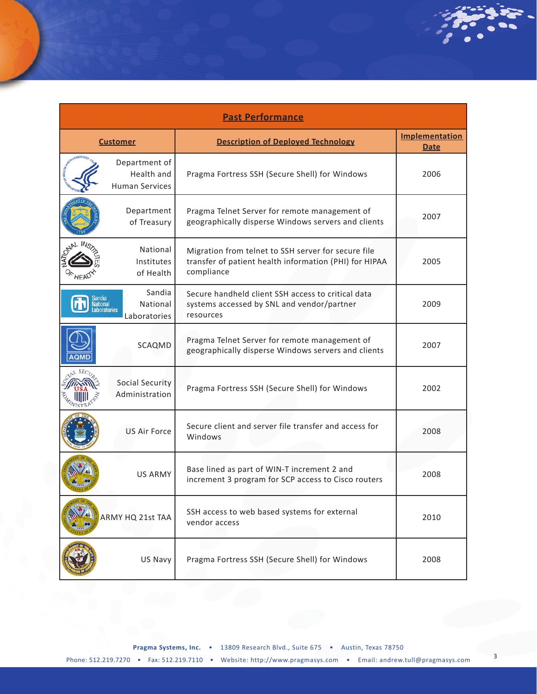| <b>Past Performance</b> |                                                      |                                                                                                                             |                                      |
|-------------------------|------------------------------------------------------|-----------------------------------------------------------------------------------------------------------------------------|--------------------------------------|
| <b>Customer</b>         |                                                      | <b>Description of Deployed Technology</b>                                                                                   | <b>Implementation</b><br><b>Date</b> |
|                         | Department of<br>Health and<br><b>Human Services</b> | Pragma Fortress SSH (Secure Shell) for Windows                                                                              | 2006                                 |
|                         | Department<br>of Treasury                            | Pragma Telnet Server for remote management of<br>geographically disperse Windows servers and clients                        | 2007                                 |
|                         | National<br>Institutes<br>of Health                  | Migration from telnet to SSH server for secure file<br>transfer of patient health information (PHI) for HIPAA<br>compliance | 2005                                 |
| andıa                   | Sandia<br>National<br>aboratories<br>Laboratories    | Secure handheld client SSH access to critical data<br>systems accessed by SNL and vendor/partner<br>resources               | 2009                                 |
|                         | SCAQMD                                               | Pragma Telnet Server for remote management of<br>geographically disperse Windows servers and clients                        | 2007                                 |
|                         | Social Security<br>Administration                    | Pragma Fortress SSH (Secure Shell) for Windows                                                                              | 2002                                 |
|                         | <b>US Air Force</b>                                  | Secure client and server file transfer and access for<br>Windows                                                            | 2008                                 |
|                         | <b>US ARMY</b>                                       | Base lined as part of WIN-T increment 2 and<br>increment 3 program for SCP access to Cisco routers                          | 2008                                 |
|                         | ARMY HQ 21st TAA                                     | SSH access to web based systems for external<br>vendor access                                                               | 2010                                 |
|                         | US Navy                                              | Pragma Fortress SSH (Secure Shell) for Windows                                                                              | 2008                                 |

3